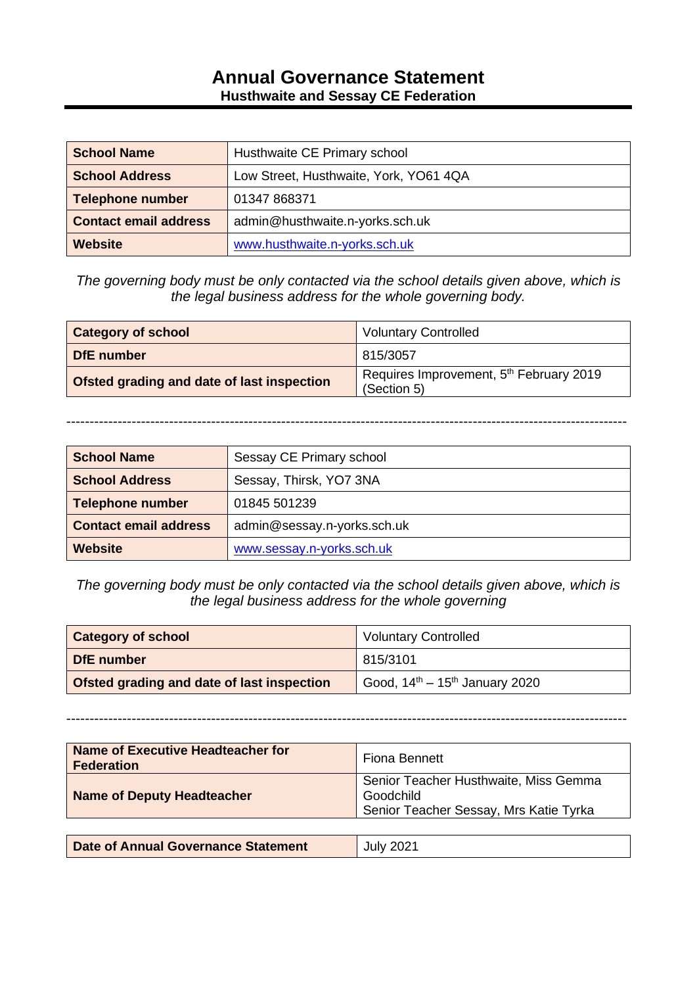## **Annual Governance Statement Husthwaite and Sessay CE Federation**

| <b>School Name</b>           | Husthwaite CE Primary school           |  |
|------------------------------|----------------------------------------|--|
| <b>School Address</b>        | Low Street, Husthwaite, York, YO61 4QA |  |
| <b>Telephone number</b>      | 01347 868371                           |  |
| <b>Contact email address</b> | admin@husthwaite.n-yorks.sch.uk        |  |
| <b>Website</b>               | www.husthwaite.n-yorks.sch.uk          |  |

*The governing body must be only contacted via the school details given above, which is the legal business address for the whole governing body.*

| <b>Category of school</b>                  | <b>Voluntary Controlled</b>                                        |  |
|--------------------------------------------|--------------------------------------------------------------------|--|
| DfE number                                 | 815/3057                                                           |  |
| Ofsted grading and date of last inspection | Requires Improvement, 5 <sup>th</sup> February 2019<br>(Section 5) |  |

------------------------------------------------------------------------------------------------------------------------

| <b>School Name</b>           | Sessay CE Primary school    |  |
|------------------------------|-----------------------------|--|
| <b>School Address</b>        | Sessay, Thirsk, YO7 3NA     |  |
| <b>Telephone number</b>      | 01845 501239                |  |
| <b>Contact email address</b> | admin@sessay.n-yorks.sch.uk |  |
| <b>Website</b>               | www.sessay.n-yorks.sch.uk   |  |

*The governing body must be only contacted via the school details given above, which is the legal business address for the whole governing* 

| <b>Category of school</b>                         | <b>Voluntary Controlled</b>            |  |
|---------------------------------------------------|----------------------------------------|--|
| DfE number                                        | 815/3101                               |  |
| <b>Ofsted grading and date of last inspection</b> | Good, $14^{th} - 15^{th}$ January 2020 |  |

------------------------------------------------------------------------------------------------------------------------

**Name of Executive Headteacher for Fiona Bennett**<br>**Federation Name of Deputy Headteacher** Senior Teacher Husthwaite, Miss Gemma Goodchild Senior Teacher Sessay, Mrs Katie Tyrka **Date of Annual Governance Statement** July 2021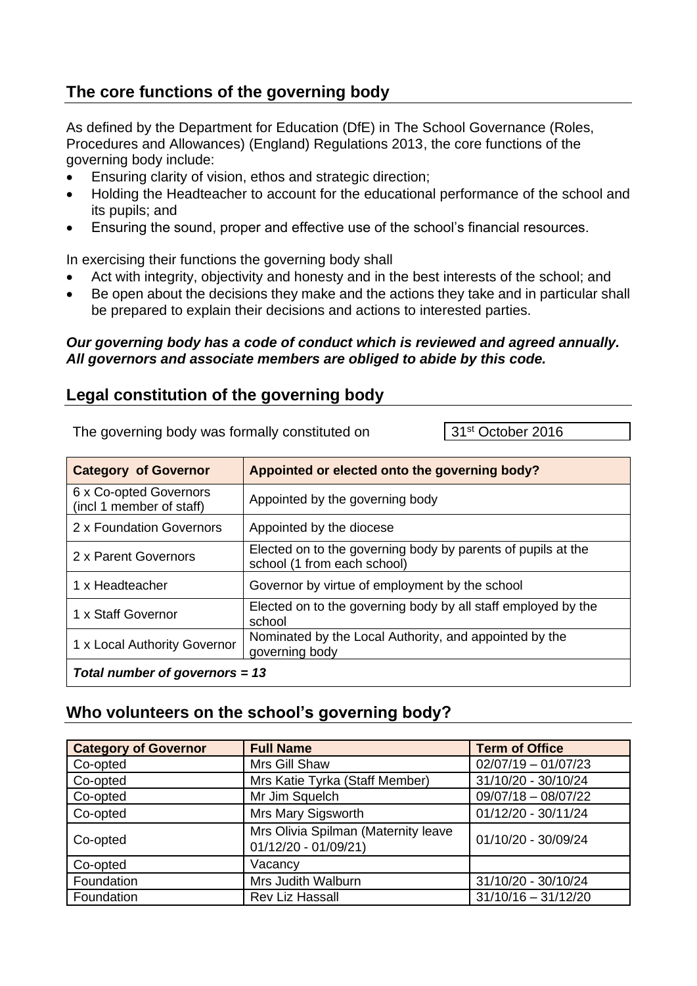# **The core functions of the governing body**

As defined by the Department for Education (DfE) in The School Governance (Roles, Procedures and Allowances) (England) Regulations 2013, the core functions of the governing body include:

- Ensuring clarity of vision, ethos and strategic direction;
- Holding the Headteacher to account for the educational performance of the school and its pupils; and
- Ensuring the sound, proper and effective use of the school's financial resources.

In exercising their functions the governing body shall

- Act with integrity, objectivity and honesty and in the best interests of the school; and
- Be open about the decisions they make and the actions they take and in particular shall be prepared to explain their decisions and actions to interested parties.

#### *Our governing body has a code of conduct which is reviewed and agreed annually. All governors and associate members are obliged to abide by this code.*

### **Legal constitution of the governing body**

The governing body was formally constituted on 31<sup>st</sup> October 2016

| <b>Category of Governor</b>                        | Appointed or elected onto the governing body?                                               |  |
|----------------------------------------------------|---------------------------------------------------------------------------------------------|--|
| 6 x Co-opted Governors<br>(incl 1 member of staff) | Appointed by the governing body                                                             |  |
| 2 x Foundation Governors                           | Appointed by the diocese                                                                    |  |
| 2 x Parent Governors                               | Elected on to the governing body by parents of pupils at the<br>school (1 from each school) |  |
| 1 x Headteacher                                    | Governor by virtue of employment by the school                                              |  |
| 1 x Staff Governor                                 | Elected on to the governing body by all staff employed by the<br>school                     |  |
| 1 x Local Authority Governor                       | Nominated by the Local Authority, and appointed by the<br>governing body                    |  |
| Total number of governors = $13$                   |                                                                                             |  |

### **Who volunteers on the school's governing body?**

| <b>Category of Governor</b>                                             | <b>Full Name</b>               | <b>Term of Office</b> |
|-------------------------------------------------------------------------|--------------------------------|-----------------------|
| Co-opted                                                                | Mrs Gill Shaw                  | $02/07/19 - 01/07/23$ |
| Co-opted                                                                | Mrs Katie Tyrka (Staff Member) | 31/10/20 - 30/10/24   |
| Co-opted                                                                | Mr Jim Squelch                 | $09/07/18 - 08/07/22$ |
| Co-opted                                                                | Mrs Mary Sigsworth             | 01/12/20 - 30/11/24   |
| Mrs Olivia Spilman (Maternity leave<br>Co-opted<br>01/12/20 - 01/09/21) |                                | 01/10/20 - 30/09/24   |
| Co-opted                                                                | Vacancy                        |                       |
| Foundation                                                              | Mrs Judith Walburn             | 31/10/20 - 30/10/24   |
| Foundation                                                              | <b>Rev Liz Hassall</b>         | $31/10/16 - 31/12/20$ |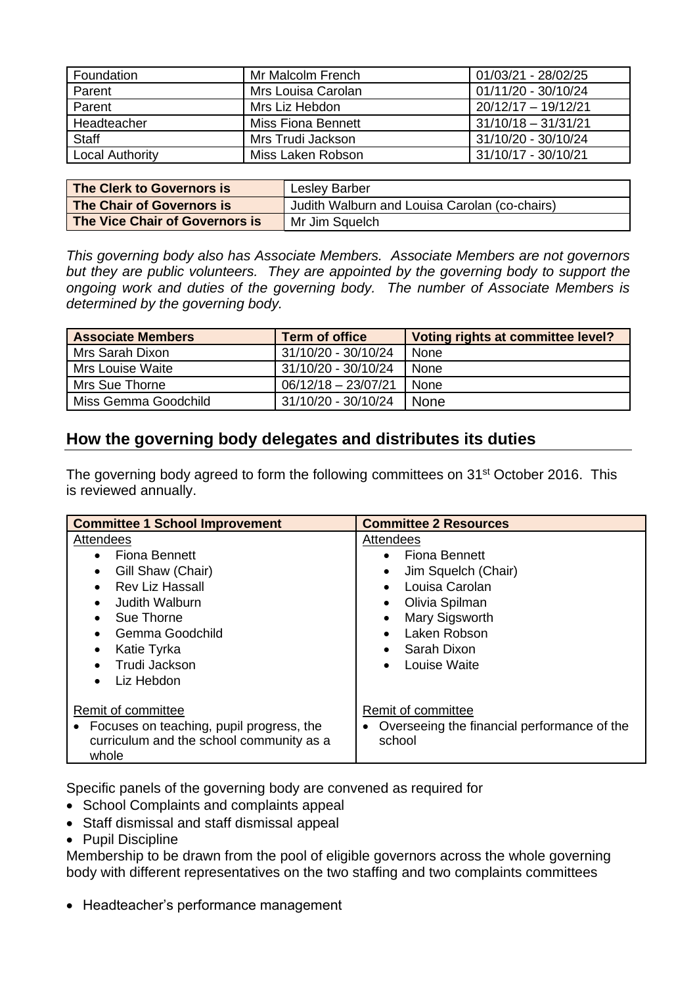| Foundation             | 01/03/21 - 28/02/25<br>Mr Malcolm French |                       |
|------------------------|------------------------------------------|-----------------------|
| Parent                 | Mrs Louisa Carolan                       | 01/11/20 - 30/10/24   |
| Parent                 | 20/12/17 - 19/12/21<br>Mrs Liz Hebdon    |                       |
| Headteacher            | Miss Fiona Bennett                       | $31/10/18 - 31/31/21$ |
| <b>Staff</b>           | Mrs Trudi Jackson                        | 31/10/20 - 30/10/24   |
| <b>Local Authority</b> | Miss Laken Robson                        | 31/10/17 - 30/10/21   |

| The Clerk to Governors is      | <b>Lesley Barber</b>                          |  |
|--------------------------------|-----------------------------------------------|--|
| The Chair of Governors is      | Judith Walburn and Louisa Carolan (co-chairs) |  |
| The Vice Chair of Governors is | Mr Jim Squelch                                |  |

*This governing body also has Associate Members. Associate Members are not governors but they are public volunteers. They are appointed by the governing body to support the ongoing work and duties of the governing body. The number of Associate Members is determined by the governing body.*

| <b>Associate Members</b> | <b>Term of office</b> | Voting rights at committee level? |
|--------------------------|-----------------------|-----------------------------------|
| Mrs Sarah Dixon          | 31/10/20 - 30/10/24   | None                              |
| Mrs Louise Waite         | 31/10/20 - 30/10/24   | None                              |
| Mrs Sue Thorne           | $06/12/18 - 23/07/21$ | <b>None</b>                       |
| Miss Gemma Goodchild     | 31/10/20 - 30/10/24   | <b>None</b>                       |

## **How the governing body delegates and distributes its duties**

The governing body agreed to form the following committees on 31<sup>st</sup> October 2016. This is reviewed annually.

| <b>Committee 1 School Improvement</b>                                                                                 | <b>Committee 2 Resources</b>                                                                                                              |  |
|-----------------------------------------------------------------------------------------------------------------------|-------------------------------------------------------------------------------------------------------------------------------------------|--|
| Attendees<br>Fiona Bennett<br>Gill Shaw (Chair)<br><b>Rev Liz Hassall</b><br>Judith Walburn                           | Attendees<br>Fiona Bennett<br>$\bullet$<br>Jim Squelch (Chair)<br>$\bullet$<br>Louisa Carolan<br>$\bullet$<br>Olivia Spilman<br>$\bullet$ |  |
| Sue Thorne<br>Gemma Goodchild<br>Katie Tyrka<br>Trudi Jackson<br>Liz Hebdon                                           | Mary Sigsworth<br>$\bullet$<br>Laken Robson<br>$\bullet$<br>Sarah Dixon<br>$\bullet$<br>Louise Waite<br>$\bullet$                         |  |
| Remit of committee<br>• Focuses on teaching, pupil progress, the<br>curriculum and the school community as a<br>whole | Remit of committee<br>Overseeing the financial performance of the<br>school                                                               |  |

Specific panels of the governing body are convened as required for

- School Complaints and complaints appeal
- Staff dismissal and staff dismissal appeal
- Pupil Discipline

Membership to be drawn from the pool of eligible governors across the whole governing body with different representatives on the two staffing and two complaints committees

• Headteacher's performance management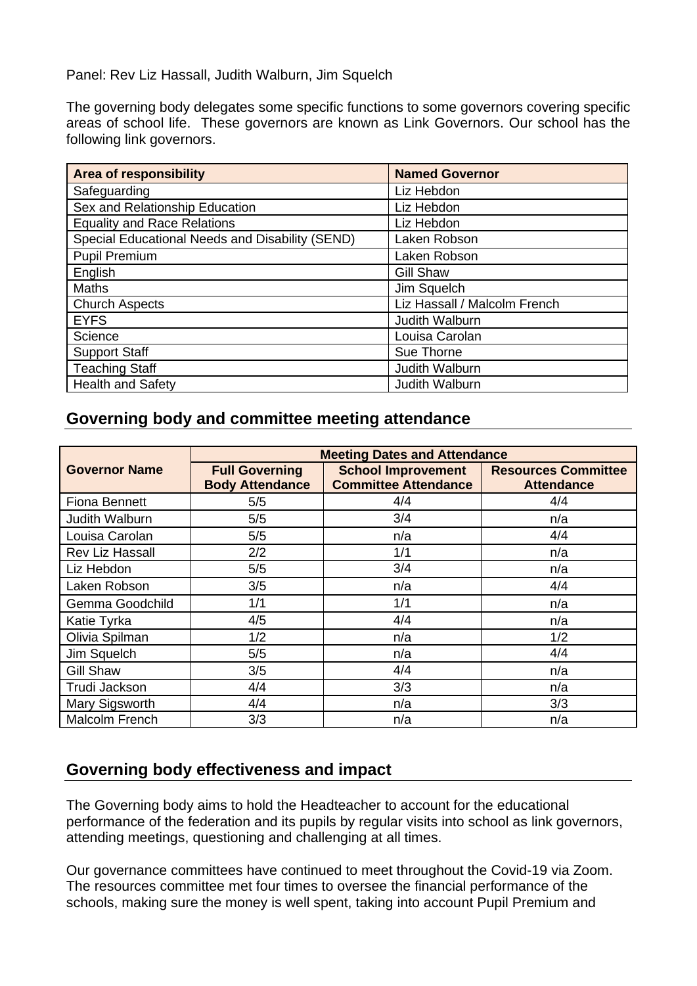Panel: Rev Liz Hassall, Judith Walburn, Jim Squelch

The governing body delegates some specific functions to some governors covering specific areas of school life. These governors are known as Link Governors. Our school has the following link governors.

| <b>Area of responsibility</b>                   | <b>Named Governor</b>        |
|-------------------------------------------------|------------------------------|
| Safeguarding                                    | Liz Hebdon                   |
| Sex and Relationship Education                  | Liz Hebdon                   |
| <b>Equality and Race Relations</b>              | Liz Hebdon                   |
| Special Educational Needs and Disability (SEND) | Laken Robson                 |
| <b>Pupil Premium</b>                            | Laken Robson                 |
| English                                         | <b>Gill Shaw</b>             |
| <b>Maths</b>                                    | Jim Squelch                  |
| <b>Church Aspects</b>                           | Liz Hassall / Malcolm French |
| <b>EYFS</b>                                     | Judith Walburn               |
| Science                                         | Louisa Carolan               |
| <b>Support Staff</b>                            | Sue Thorne                   |
| <b>Teaching Staff</b>                           | Judith Walburn               |
| <b>Health and Safety</b>                        | Judith Walburn               |

## **Governing body and committee meeting attendance**

|                      | <b>Meeting Dates and Attendance</b>             |                                                          |                                                 |
|----------------------|-------------------------------------------------|----------------------------------------------------------|-------------------------------------------------|
| <b>Governor Name</b> | <b>Full Governing</b><br><b>Body Attendance</b> | <b>School Improvement</b><br><b>Committee Attendance</b> | <b>Resources Committee</b><br><b>Attendance</b> |
| <b>Fiona Bennett</b> | 5/5                                             | 4/4                                                      | 4/4                                             |
| Judith Walburn       | 5/5                                             | 3/4                                                      | n/a                                             |
| Louisa Carolan       | 5/5                                             | n/a                                                      | 4/4                                             |
| Rev Liz Hassall      | 2/2                                             | 1/1                                                      | n/a                                             |
| Liz Hebdon           | 5/5                                             | 3/4                                                      | n/a                                             |
| Laken Robson         | 3/5                                             | n/a                                                      | 4/4                                             |
| Gemma Goodchild      | 1/1                                             | 1/1                                                      | n/a                                             |
| Katie Tyrka          | 4/5                                             | 4/4                                                      | n/a                                             |
| Olivia Spilman       | 1/2                                             | n/a                                                      | 1/2                                             |
| Jim Squelch          | 5/5                                             | n/a                                                      | 4/4                                             |
| <b>Gill Shaw</b>     | 3/5                                             | 4/4                                                      | n/a                                             |
| Trudi Jackson        | 4/4                                             | 3/3                                                      | n/a                                             |
| Mary Sigsworth       | 4/4                                             | n/a                                                      | 3/3                                             |
| Malcolm French       | 3/3                                             | n/a                                                      | n/a                                             |

## **Governing body effectiveness and impact**

The Governing body aims to hold the Headteacher to account for the educational performance of the federation and its pupils by regular visits into school as link governors, attending meetings, questioning and challenging at all times.

Our governance committees have continued to meet throughout the Covid-19 via Zoom. The resources committee met four times to oversee the financial performance of the schools, making sure the money is well spent, taking into account Pupil Premium and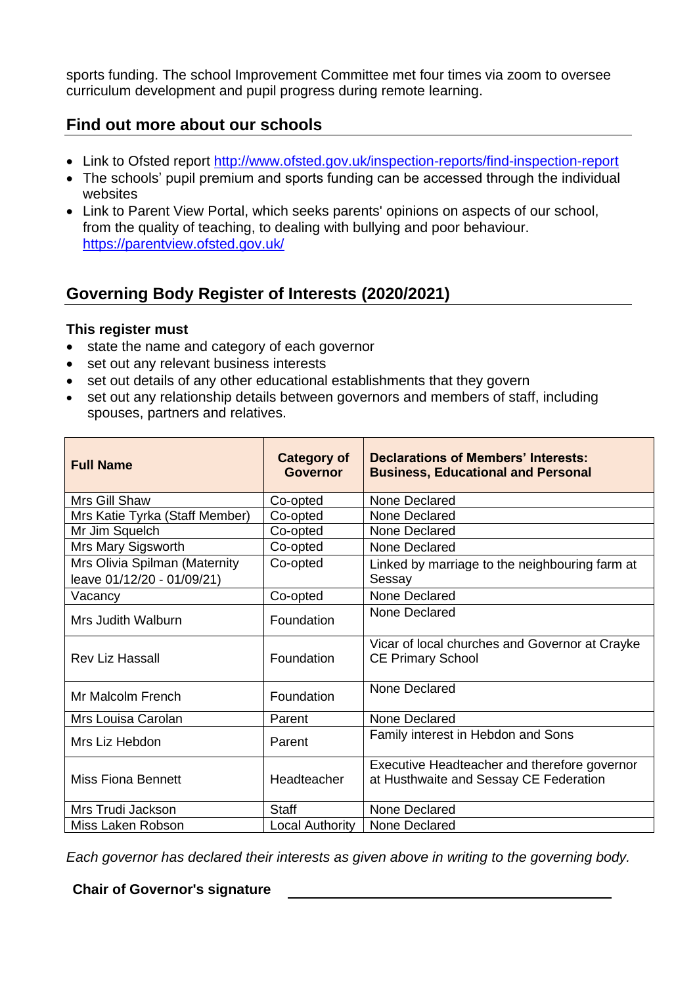sports funding. The school Improvement Committee met four times via zoom to oversee curriculum development and pupil progress during remote learning.

#### **Find out more about our schools**

- Link to Ofsted report <http://www.ofsted.gov.uk/inspection-reports/find-inspection-report>
- The schools' pupil premium and sports funding can be accessed through the individual websites
- Link to Parent View Portal, which seeks parents' opinions on aspects of our school, from the quality of teaching, to dealing with bullying and poor behaviour. <https://parentview.ofsted.gov.uk/>

## **Governing Body Register of Interests (2020/2021)**

#### **This register must**

- state the name and category of each governor
- set out any relevant business interests
- set out details of any other educational establishments that they govern
- set out any relationship details between governors and members of staff, including spouses, partners and relatives.

| <b>Full Name</b>                                            | <b>Category of</b><br><b>Governor</b> | <b>Declarations of Members' Interests:</b><br><b>Business, Educational and Personal</b> |
|-------------------------------------------------------------|---------------------------------------|-----------------------------------------------------------------------------------------|
| Mrs Gill Shaw                                               | Co-opted                              | None Declared                                                                           |
| Mrs Katie Tyrka (Staff Member)                              | Co-opted                              | None Declared                                                                           |
| Mr Jim Squelch                                              | Co-opted                              | None Declared                                                                           |
| Mrs Mary Sigsworth                                          | Co-opted                              | None Declared                                                                           |
| Mrs Olivia Spilman (Maternity<br>leave 01/12/20 - 01/09/21) | Co-opted                              | Linked by marriage to the neighbouring farm at<br>Sessay                                |
| Vacancy                                                     | Co-opted                              | None Declared                                                                           |
| Mrs Judith Walburn                                          | Foundation                            | <b>None Declared</b>                                                                    |
| <b>Rev Liz Hassall</b>                                      | Foundation                            | Vicar of local churches and Governor at Crayke<br><b>CE Primary School</b>              |
| Mr Malcolm French                                           | Foundation                            | <b>None Declared</b>                                                                    |
| Mrs Louisa Carolan                                          | Parent                                | <b>None Declared</b>                                                                    |
| Mrs Liz Hebdon                                              | Parent                                | Family interest in Hebdon and Sons                                                      |
| <b>Miss Fiona Bennett</b>                                   | Headteacher                           | Executive Headteacher and therefore governor<br>at Husthwaite and Sessay CE Federation  |
| Mrs Trudi Jackson                                           | <b>Staff</b>                          | <b>None Declared</b>                                                                    |
| Miss Laken Robson                                           | <b>Local Authority</b>                | None Declared                                                                           |

*Each governor has declared their interests as given above in writing to the governing body.* 

#### **Chair of Governor's signature**